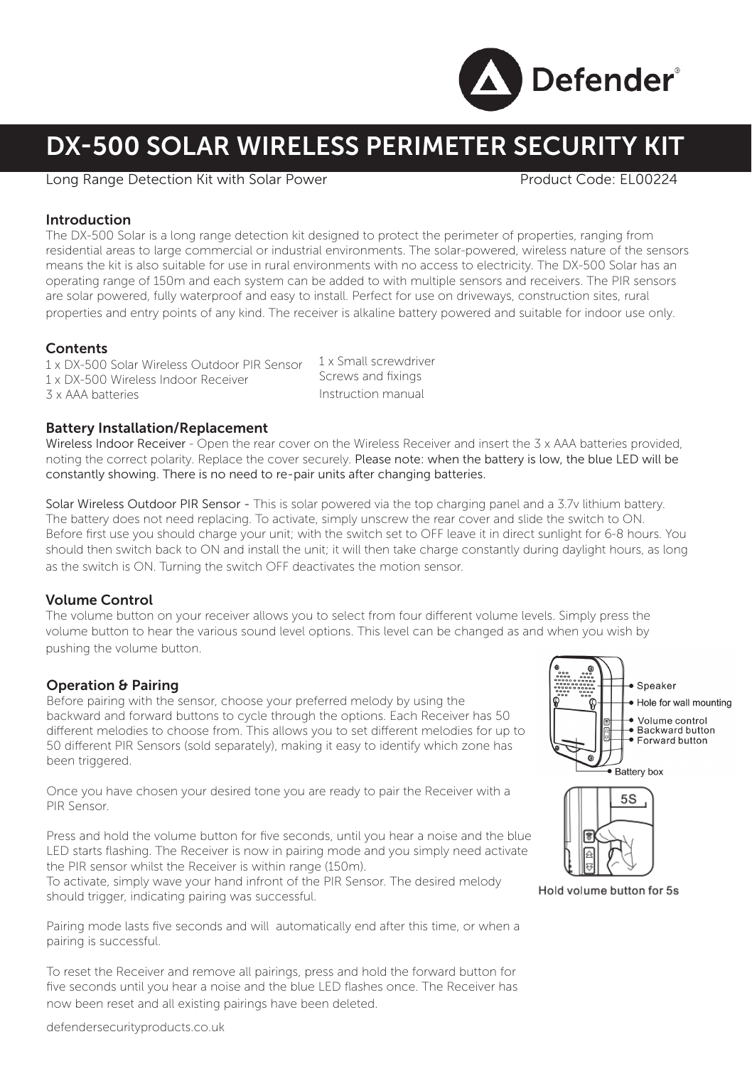

# DX-500 SOLAR WIRELESS PERIMETER SECURITY KIT

#### Long Range Detection Kit with Solar Power Product Code: EL00224

### Introduction

The DX-500 Solar is a long range detection kit designed to protect the perimeter of properties, ranging from residential areas to large commercial or industrial environments. The solar-powered, wireless nature of the sensors means the kit is also suitable for use in rural environments with no access to electricity. The DX-500 Solar has an operating range of 150m and each system can be added to with multiple sensors and receivers. The PIR sensors are solar powered, fully waterproof and easy to install. Perfect for use on driveways, construction sites, rural properties and entry points of any kind. The receiver is alkaline battery powered and suitable for indoor use only.

### **Contents**

1 x DX-500 Solar Wireless Outdoor PIR Sensor 1 x DX-500 Wireless Indoor Receiver 3 x AAA batteries 1 x Small screwdriver Screws and fixings Instruction manual

Battery Installation/Replacement

Wireless Indoor Receiver - Open the rear cover on the Wireless Receiver and insert the 3 x AAA batteries provided. noting the correct polarity. Replace the cover securely. Please note: when the battery is low, the blue LED will be constantly showing. There is no need to re-pair units after changing batteries.

Solar Wireless Outdoor PIR Sensor - This is solar powered via the top charging panel and a 3.7v lithium battery. The battery does not need replacing. To activate, simply unscrew the rear cover and slide the switch to ON. Before first use you should charge your unit; with the switch set to OFF leave it in direct sunlight for 6-8 hours. You should then switch back to ON and install the unit; it will then take charge constantly during daylight hours, as long as the switch is ON. Turning the switch OFF deactivates the motion sensor.

# Volume Control

The volume button on your receiver allows you to select from four different volume levels. Simply press the volume button to hear the various sound level options. This level can be changed as and when you wish by pushing the volume button.

# Operation & Pairing

Before pairing with the sensor, choose your preferred melody by using the backward and forward buttons to cycle through the options. Each Receiver has 50 different melodies to choose from. This allows you to set different melodies for up to 50 different PIR Sensors (sold separately), making it easy to identify which zone has been triggered.

Once you have chosen your desired tone you are ready to pair the Receiver with a PIR Sensor.

Press and hold the volume button for five seconds, until you hear a noise and the blue LED starts flashing. The Receiver is now in pairing mode and you simply need activate the PIR sensor whilst the Receiver is within range (150m).

To activate, simply wave your hand infront of the PIR Sensor. The desired melody should trigger, indicating pairing was successful.

Pairing mode lasts five seconds and will automatically end after this time, or when a pairing is successful.

To reset the Receiver and remove all pairings, press and hold the forward button for five seconds until you hear a noise and the blue LED flashes once. The Receiver has now been reset and all existing pairings have been deleted.





Hold volume button for 5s

defendersecurityproducts.co.uk